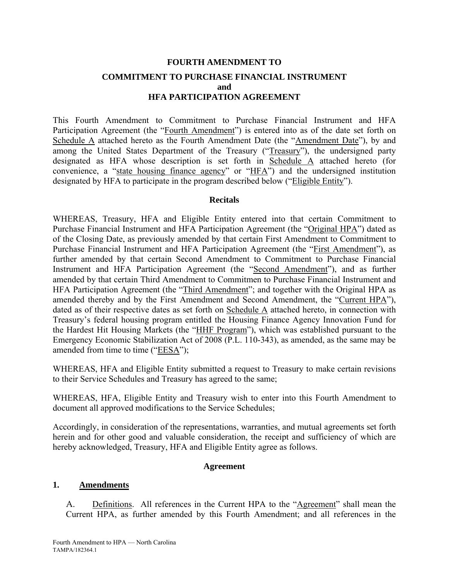# **FOURTH AMENDMENT TO COMMITMENT TO PURCHASE FINANCIAL INSTRUMENT and HFA PARTICIPATION AGREEMENT**

This Fourth Amendment to Commitment to Purchase Financial Instrument and HFA Participation Agreement (the "Fourth Amendment") is entered into as of the date set forth on Schedule A attached hereto as the Fourth Amendment Date (the "Amendment Date"), by and among the United States Department of the Treasury ("Treasury"), the undersigned party designated as HFA whose description is set forth in Schedule A attached hereto (for convenience, a "state housing finance agency" or "HFA") and the undersigned institution designated by HFA to participate in the program described below ("Eligible Entity").

#### **Recitals**

WHEREAS, Treasury, HFA and Eligible Entity entered into that certain Commitment to Purchase Financial Instrument and HFA Participation Agreement (the "Original HPA") dated as of the Closing Date, as previously amended by that certain First Amendment to Commitment to Purchase Financial Instrument and HFA Participation Agreement (the "First Amendment"), as further amended by that certain Second Amendment to Commitment to Purchase Financial Instrument and HFA Participation Agreement (the "Second Amendment"), and as further amended by that certain Third Amendment to Commitmen to Purchase Financial Instrument and HFA Participation Agreement (the "Third Amendment"; and together with the Original HPA as amended thereby and by the First Amendment and Second Amendment, the "Current HPA"), dated as of their respective dates as set forth on Schedule A attached hereto, in connection with Treasury's federal housing program entitled the Housing Finance Agency Innovation Fund for the Hardest Hit Housing Markets (the "HHF Program"), which was established pursuant to the Emergency Economic Stabilization Act of 2008 (P.L. 110-343), as amended, as the same may be amended from time to time ("EESA");

WHEREAS, HFA and Eligible Entity submitted a request to Treasury to make certain revisions to their Service Schedules and Treasury has agreed to the same;

WHEREAS, HFA, Eligible Entity and Treasury wish to enter into this Fourth Amendment to document all approved modifications to the Service Schedules;

Accordingly, in consideration of the representations, warranties, and mutual agreements set forth herein and for other good and valuable consideration, the receipt and sufficiency of which are hereby acknowledged, Treasury, HFA and Eligible Entity agree as follows.

#### **Agreement**

#### **1. Amendments**

A. Definitions. All references in the Current HPA to the "Agreement" shall mean the Current HPA, as further amended by this Fourth Amendment; and all references in the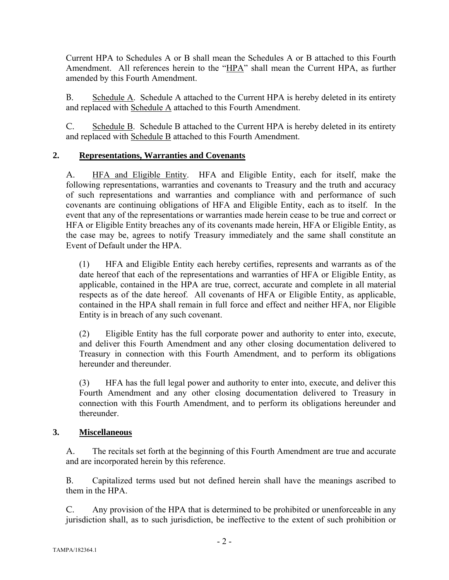Current HPA to Schedules A or B shall mean the Schedules A or B attached to this Fourth Amendment. All references herein to the "HPA" shall mean the Current HPA, as further amended by this Fourth Amendment.

B. Schedule A. Schedule A attached to the Current HPA is hereby deleted in its entirety and replaced with Schedule A attached to this Fourth Amendment.

C. Schedule B. Schedule B attached to the Current HPA is hereby deleted in its entirety and replaced with Schedule B attached to this Fourth Amendment.

## **2. Representations, Warranties and Covenants**

A. HFA and Eligible Entity. HFA and Eligible Entity, each for itself, make the following representations, warranties and covenants to Treasury and the truth and accuracy of such representations and warranties and compliance with and performance of such covenants are continuing obligations of HFA and Eligible Entity, each as to itself. In the event that any of the representations or warranties made herein cease to be true and correct or HFA or Eligible Entity breaches any of its covenants made herein, HFA or Eligible Entity, as the case may be, agrees to notify Treasury immediately and the same shall constitute an Event of Default under the HPA.

(1) HFA and Eligible Entity each hereby certifies, represents and warrants as of the date hereof that each of the representations and warranties of HFA or Eligible Entity, as applicable, contained in the HPA are true, correct, accurate and complete in all material respects as of the date hereof. All covenants of HFA or Eligible Entity, as applicable, contained in the HPA shall remain in full force and effect and neither HFA, nor Eligible Entity is in breach of any such covenant.

(2) Eligible Entity has the full corporate power and authority to enter into, execute, and deliver this Fourth Amendment and any other closing documentation delivered to Treasury in connection with this Fourth Amendment, and to perform its obligations hereunder and thereunder.

(3) HFA has the full legal power and authority to enter into, execute, and deliver this Fourth Amendment and any other closing documentation delivered to Treasury in connection with this Fourth Amendment, and to perform its obligations hereunder and thereunder.

## **3. Miscellaneous**

A. The recitals set forth at the beginning of this Fourth Amendment are true and accurate and are incorporated herein by this reference.

B. Capitalized terms used but not defined herein shall have the meanings ascribed to them in the HPA.

C. Any provision of the HPA that is determined to be prohibited or unenforceable in any jurisdiction shall, as to such jurisdiction, be ineffective to the extent of such prohibition or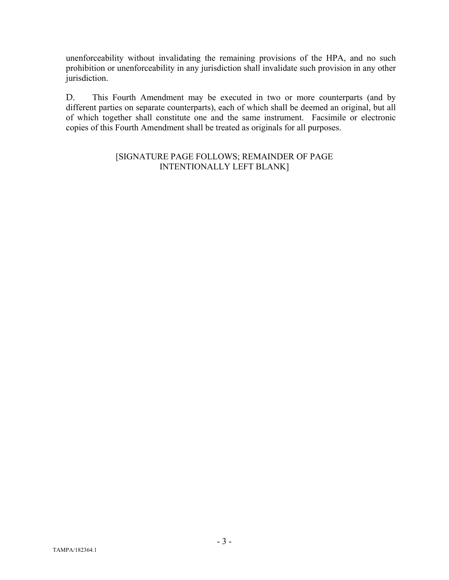unenforceability without invalidating the remaining provisions of the HPA, and no such prohibition or unenforceability in any jurisdiction shall invalidate such provision in any other jurisdiction.

D. This Fourth Amendment may be executed in two or more counterparts (and by different parties on separate counterparts), each of which shall be deemed an original, but all of which together shall constitute one and the same instrument. Facsimile or electronic copies of this Fourth Amendment shall be treated as originals for all purposes.

#### [SIGNATURE PAGE FOLLOWS; REMAINDER OF PAGE INTENTIONALLY LEFT BLANK]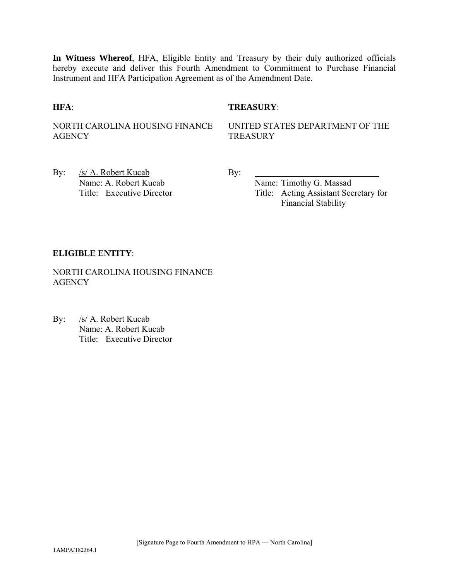**In Witness Whereof**, HFA, Eligible Entity and Treasury by their duly authorized officials hereby execute and deliver this Fourth Amendment to Commitment to Purchase Financial Instrument and HFA Participation Agreement as of the Amendment Date.

#### **HFA**: **TREASURY**:

NORTH CAROLINA HOUSING FINANCE **AGENCY** 

UNITED STATES DEPARTMENT OF THE **TREASURY** 

By: /s/ A. Robert Kucab By: Name: A. Robert Kucab Name: Timothy G. Massad

Title: Executive Director Title: Acting Assistant Secretary for Financial Stability

#### **ELIGIBLE ENTITY**:

NORTH CAROLINA HOUSING FINANCE **AGENCY** 

By: /s/ A. Robert Kucab Name: A. Robert Kucab Title: Executive Director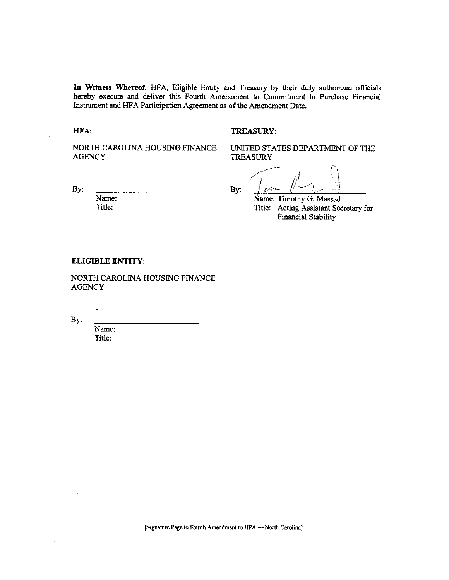In Witness Whereof, HFA, Eligible Entity and Treasury by their duly authorized officials hereby execute and deliver this Fourth Amendment to Commitment to Purchase Financial Instrument and HFA Participation Agreement as of the Amendment Date.

HFA:

#### **TREASURY:**

NORTH CAROLINA HOUSING FINANCE **AGENCY** 

UNITED STATES DEPARTMENT OF THE **TREASURY** 

By:

Name: Title:

By:

an. Name: Timothy G. Massad

Title: Acting Assistant Secretary for Financial Stability

#### **ELIGIBLE ENTITY:**

NORTH CAROLINA HOUSING FINANCE **AGENCY**  $\overline{a}$ 

By:

Name: Title: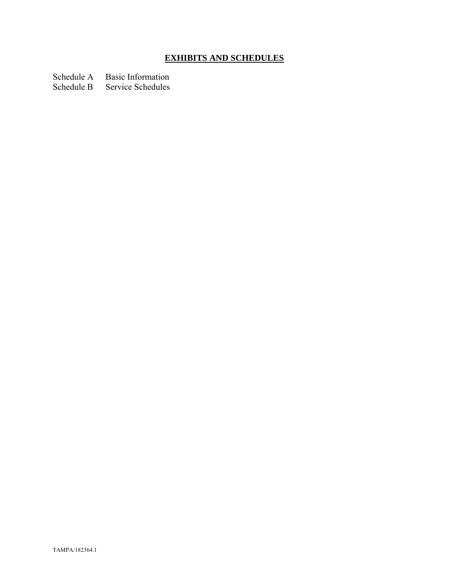# **EXHIBITS AND SCHEDULES**

Schedule A Basic Information

Schedule B Service Schedules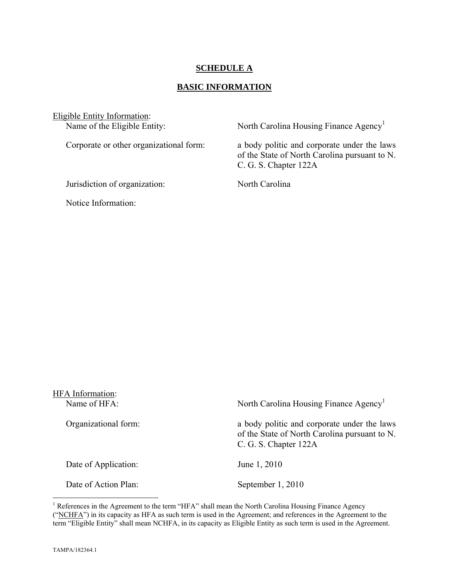#### **SCHEDULE A**

#### **BASIC INFORMATION**

Eligible Entity Information:<br>Name of the Eligible Entity:

Jurisdiction of organization: North Carolina

Notice Information:

North Carolina Housing Finance Agency<sup>1</sup>

Corporate or other organizational form: a body politic and corporate under the laws of the State of North Carolina pursuant to N. C. G. S. Chapter 122A

| HFA Information:<br>Name of HFA: | North Carolina Housing Finance Agency <sup>1</sup>                                                                    |
|----------------------------------|-----------------------------------------------------------------------------------------------------------------------|
| Organizational form:             | a body politic and corporate under the laws<br>of the State of North Carolina pursuant to N.<br>C. G. S. Chapter 122A |
| Date of Application:             | June 1, 2010                                                                                                          |
| Date of Action Plan:             | September 1, 2010                                                                                                     |

<sup>&</sup>lt;sup>1</sup> References in the Agreement to the term "HFA" shall mean the North Carolina Housing Finance Agency ("NCHFA") in its capacity as HFA as such term is used in the Agreement; and references in the Agreement to the term "Eligible Entity" shall mean NCHFA, in its capacity as Eligible Entity as such term is used in the Agreement.

1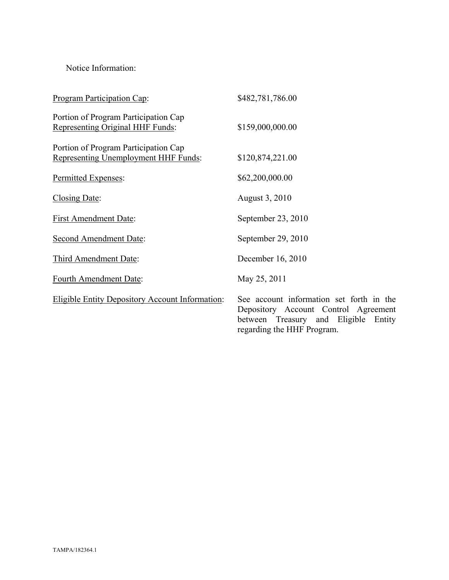Notice Information:

| <b>Program Participation Cap:</b>                                            | \$482,781,786.00                                                                                                               |
|------------------------------------------------------------------------------|--------------------------------------------------------------------------------------------------------------------------------|
| Portion of Program Participation Cap<br>Representing Original HHF Funds:     | \$159,000,000.00                                                                                                               |
| Portion of Program Participation Cap<br>Representing Unemployment HHF Funds: | \$120,874,221.00                                                                                                               |
| Permitted Expenses:                                                          | \$62,200,000.00                                                                                                                |
| Closing Date:                                                                | August 3, 2010                                                                                                                 |
| <b>First Amendment Date:</b>                                                 | September 23, 2010                                                                                                             |
| <b>Second Amendment Date:</b>                                                | September 29, 2010                                                                                                             |
| Third Amendment Date:                                                        | December 16, 2010                                                                                                              |
| Fourth Amendment Date:                                                       | May 25, 2011                                                                                                                   |
| <b>Eligible Entity Depository Account Information:</b>                       | See account information set forth in the<br>Depository Account Control Agreement<br>Eligible<br>between Treasury and<br>Entity |

regarding the HHF Program.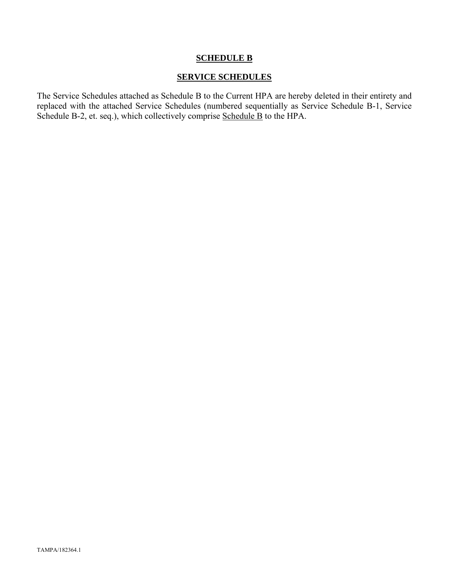#### **SCHEDULE B**

#### **SERVICE SCHEDULES**

The Service Schedules attached as Schedule B to the Current HPA are hereby deleted in their entirety and replaced with the attached Service Schedules (numbered sequentially as Service Schedule B-1, Service Schedule B-2, et. seq.), which collectively comprise Schedule B to the HPA.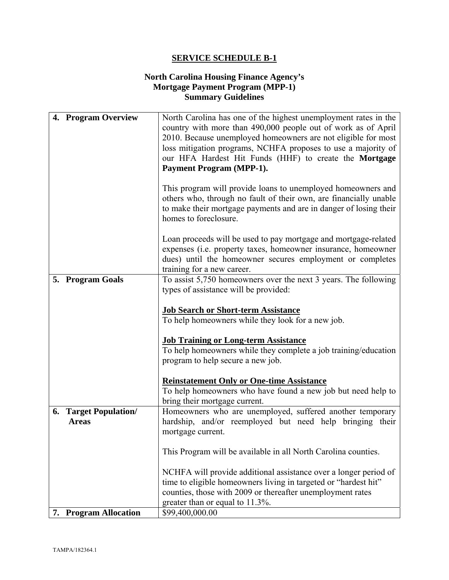#### **North Carolina Housing Finance Agency's Mortgage Payment Program (MPP-1) Summary Guidelines**

| 4. Program Overview          | North Carolina has one of the highest unemployment rates in the<br>country with more than 490,000 people out of work as of April<br>2010. Because unemployed homeowners are not eligible for most<br>loss mitigation programs, NCHFA proposes to use a majority of<br>our HFA Hardest Hit Funds (HHF) to create the Mortgage<br><b>Payment Program (MPP-1).</b> |
|------------------------------|-----------------------------------------------------------------------------------------------------------------------------------------------------------------------------------------------------------------------------------------------------------------------------------------------------------------------------------------------------------------|
|                              | This program will provide loans to unemployed homeowners and<br>others who, through no fault of their own, are financially unable<br>to make their mortgage payments and are in danger of losing their<br>homes to foreclosure.                                                                                                                                 |
|                              | Loan proceeds will be used to pay mortgage and mortgage-related<br>expenses (i.e. property taxes, homeowner insurance, homeowner<br>dues) until the homeowner secures employment or completes<br>training for a new career.                                                                                                                                     |
| 5. Program Goals             | To assist 5,750 homeowners over the next 3 years. The following                                                                                                                                                                                                                                                                                                 |
|                              | types of assistance will be provided:                                                                                                                                                                                                                                                                                                                           |
|                              | <b>Job Search or Short-term Assistance</b>                                                                                                                                                                                                                                                                                                                      |
|                              | To help homeowners while they look for a new job.                                                                                                                                                                                                                                                                                                               |
|                              |                                                                                                                                                                                                                                                                                                                                                                 |
|                              | <b>Job Training or Long-term Assistance</b>                                                                                                                                                                                                                                                                                                                     |
|                              | To help homeowners while they complete a job training/education<br>program to help secure a new job.                                                                                                                                                                                                                                                            |
|                              | <b>Reinstatement Only or One-time Assistance</b>                                                                                                                                                                                                                                                                                                                |
|                              | To help homeowners who have found a new job but need help to                                                                                                                                                                                                                                                                                                    |
|                              | bring their mortgage current.                                                                                                                                                                                                                                                                                                                                   |
| <b>6. Target Population/</b> | Homeowners who are unemployed, suffered another temporary                                                                                                                                                                                                                                                                                                       |
| <b>Areas</b>                 | hardship, and/or reemployed but need help bringing their<br>mortgage current.                                                                                                                                                                                                                                                                                   |
|                              |                                                                                                                                                                                                                                                                                                                                                                 |
|                              | This Program will be available in all North Carolina counties.                                                                                                                                                                                                                                                                                                  |
|                              | NCHFA will provide additional assistance over a longer period of                                                                                                                                                                                                                                                                                                |
|                              | time to eligible homeowners living in targeted or "hardest hit"                                                                                                                                                                                                                                                                                                 |
|                              | counties, those with 2009 or thereafter unemployment rates                                                                                                                                                                                                                                                                                                      |
| 7. Program Allocation        | greater than or equal to 11.3%.<br>\$99,400,000.00                                                                                                                                                                                                                                                                                                              |
|                              |                                                                                                                                                                                                                                                                                                                                                                 |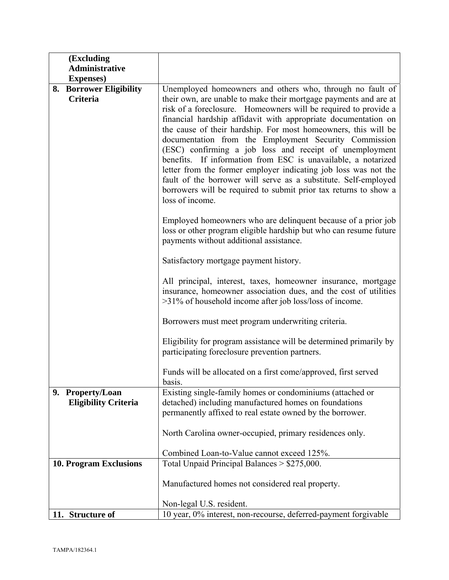|    | (Excluding                  |                                                                                                                  |
|----|-----------------------------|------------------------------------------------------------------------------------------------------------------|
|    | <b>Administrative</b>       |                                                                                                                  |
|    | <b>Expenses</b> )           |                                                                                                                  |
|    | 8. Borrower Eligibility     | Unemployed homeowners and others who, through no fault of                                                        |
|    | <b>Criteria</b>             | their own, are unable to make their mortgage payments and are at                                                 |
|    |                             | risk of a foreclosure. Homeowners will be required to provide a                                                  |
|    |                             | financial hardship affidavit with appropriate documentation on                                                   |
|    |                             | the cause of their hardship. For most homeowners, this will be                                                   |
|    |                             | documentation from the Employment Security Commission<br>(ESC) confirming a job loss and receipt of unemployment |
|    |                             | benefits. If information from ESC is unavailable, a notarized                                                    |
|    |                             | letter from the former employer indicating job loss was not the                                                  |
|    |                             | fault of the borrower will serve as a substitute. Self-employed                                                  |
|    |                             | borrowers will be required to submit prior tax returns to show a                                                 |
|    |                             | loss of income.                                                                                                  |
|    |                             |                                                                                                                  |
|    |                             | Employed homeowners who are delinquent because of a prior job                                                    |
|    |                             | loss or other program eligible hardship but who can resume future<br>payments without additional assistance.     |
|    |                             |                                                                                                                  |
|    |                             | Satisfactory mortgage payment history.                                                                           |
|    |                             |                                                                                                                  |
|    |                             | All principal, interest, taxes, homeowner insurance, mortgage                                                    |
|    |                             | insurance, homeowner association dues, and the cost of utilities                                                 |
|    |                             | >31% of household income after job loss/loss of income.                                                          |
|    |                             | Borrowers must meet program underwriting criteria.                                                               |
|    |                             |                                                                                                                  |
|    |                             | Eligibility for program assistance will be determined primarily by                                               |
|    |                             | participating foreclosure prevention partners.                                                                   |
|    |                             | Funds will be allocated on a first come/approved, first served                                                   |
|    |                             | basis.                                                                                                           |
| 9. | <b>Property/Loan</b>        | Existing single-family homes or condominiums (attached or                                                        |
|    | <b>Eligibility Criteria</b> | detached) including manufactured homes on foundations                                                            |
|    |                             | permanently affixed to real estate owned by the borrower.                                                        |
|    |                             | North Carolina owner-occupied, primary residences only.                                                          |
|    |                             |                                                                                                                  |
|    |                             | Combined Loan-to-Value cannot exceed 125%.                                                                       |
|    | 10. Program Exclusions      | Total Unpaid Principal Balances > \$275,000.                                                                     |
|    |                             |                                                                                                                  |
|    |                             | Manufactured homes not considered real property.                                                                 |
|    |                             |                                                                                                                  |
|    | 11. Structure of            | Non-legal U.S. resident.<br>10 year, 0% interest, non-recourse, deferred-payment forgivable                      |
|    |                             |                                                                                                                  |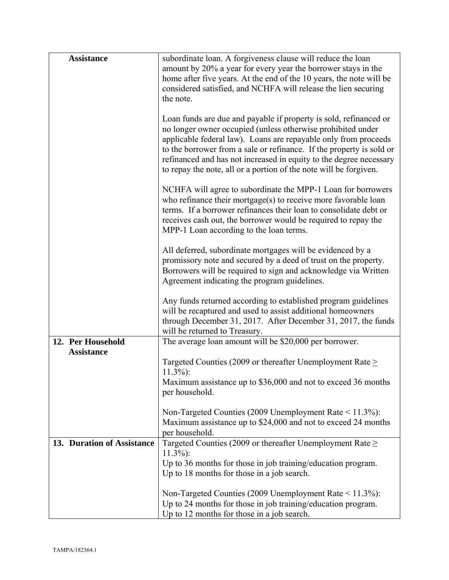| <b>Assistance</b>          | subordinate loan. A forgiveness clause will reduce the loan                                                                                                                                                                                                                                                                                                                                                            |
|----------------------------|------------------------------------------------------------------------------------------------------------------------------------------------------------------------------------------------------------------------------------------------------------------------------------------------------------------------------------------------------------------------------------------------------------------------|
|                            | amount by 20% a year for every year the borrower stays in the                                                                                                                                                                                                                                                                                                                                                          |
|                            | home after five years. At the end of the 10 years, the note will be                                                                                                                                                                                                                                                                                                                                                    |
|                            | considered satisfied, and NCHFA will release the lien securing                                                                                                                                                                                                                                                                                                                                                         |
|                            | the note.                                                                                                                                                                                                                                                                                                                                                                                                              |
|                            |                                                                                                                                                                                                                                                                                                                                                                                                                        |
|                            | Loan funds are due and payable if property is sold, refinanced or<br>no longer owner occupied (unless otherwise prohibited under<br>applicable federal law). Loans are repayable only from proceeds<br>to the borrower from a sale or refinance. If the property is sold or<br>refinanced and has not increased in equity to the degree necessary<br>to repay the note, all or a portion of the note will be forgiven. |
|                            |                                                                                                                                                                                                                                                                                                                                                                                                                        |
|                            | NCHFA will agree to subordinate the MPP-1 Loan for borrowers<br>who refinance their mortgage $(s)$ to receive more favorable loan<br>terms. If a borrower refinances their loan to consolidate debt or<br>receives cash out, the borrower would be required to repay the<br>MPP-1 Loan according to the loan terms.                                                                                                    |
|                            | All deferred, subordinate mortgages will be evidenced by a                                                                                                                                                                                                                                                                                                                                                             |
|                            | promissory note and secured by a deed of trust on the property.                                                                                                                                                                                                                                                                                                                                                        |
|                            | Borrowers will be required to sign and acknowledge via Written                                                                                                                                                                                                                                                                                                                                                         |
|                            | Agreement indicating the program guidelines.                                                                                                                                                                                                                                                                                                                                                                           |
|                            | Any funds returned according to established program guidelines<br>will be recaptured and used to assist additional homeowners<br>through December 31, 2017. After December 31, 2017, the funds                                                                                                                                                                                                                         |
|                            | will be returned to Treasury.                                                                                                                                                                                                                                                                                                                                                                                          |
| 12. Per Household          | The average loan amount will be \$20,000 per borrower.                                                                                                                                                                                                                                                                                                                                                                 |
| <b>Assistance</b>          |                                                                                                                                                                                                                                                                                                                                                                                                                        |
|                            | Targeted Counties (2009 or thereafter Unemployment Rate $\geq$<br>$11.3\%$ :                                                                                                                                                                                                                                                                                                                                           |
|                            | Maximum assistance up to \$36,000 and not to exceed 36 months<br>per household.                                                                                                                                                                                                                                                                                                                                        |
|                            | Non-Targeted Counties (2009 Unemployment Rate $\leq$ 11.3%):<br>Maximum assistance up to \$24,000 and not to exceed 24 months<br>per household.                                                                                                                                                                                                                                                                        |
| 13. Duration of Assistance | Targeted Counties (2009 or thereafter Unemployment Rate $\geq$<br>$11.3\%$ :                                                                                                                                                                                                                                                                                                                                           |
|                            | Up to 36 months for those in job training/education program.                                                                                                                                                                                                                                                                                                                                                           |
|                            | Up to 18 months for those in a job search.                                                                                                                                                                                                                                                                                                                                                                             |
|                            | Non-Targeted Counties (2009 Unemployment Rate $\leq$ 11.3%):                                                                                                                                                                                                                                                                                                                                                           |
|                            | Up to 24 months for those in job training/education program.                                                                                                                                                                                                                                                                                                                                                           |
|                            | Up to 12 months for those in a job search.                                                                                                                                                                                                                                                                                                                                                                             |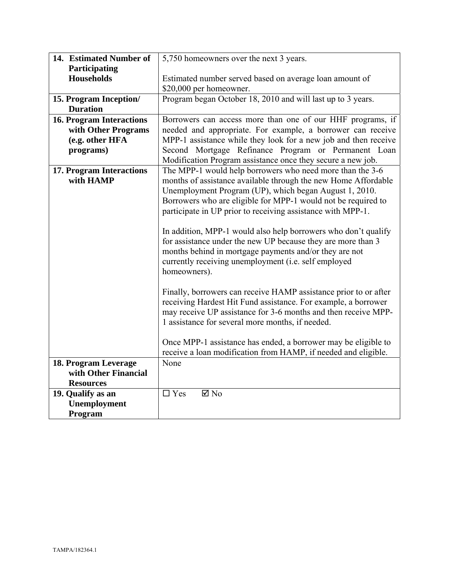| 14. Estimated Number of         | 5,750 homeowners over the next 3 years.                          |
|---------------------------------|------------------------------------------------------------------|
| Participating                   |                                                                  |
| <b>Households</b>               | Estimated number served based on average loan amount of          |
|                                 | \$20,000 per homeowner.                                          |
| 15. Program Inception/          | Program began October 18, 2010 and will last up to 3 years.      |
| <b>Duration</b>                 |                                                                  |
| <b>16. Program Interactions</b> | Borrowers can access more than one of our HHF programs, if       |
| with Other Programs             | needed and appropriate. For example, a borrower can receive      |
| (e.g. other HFA                 | MPP-1 assistance while they look for a new job and then receive  |
| programs)                       | Second Mortgage Refinance Program or Permanent Loan              |
|                                 | Modification Program assistance once they secure a new job.      |
| 17. Program Interactions        | The MPP-1 would help borrowers who need more than the 3-6        |
| with HAMP                       | months of assistance available through the new Home Affordable   |
|                                 | Unemployment Program (UP), which began August 1, 2010.           |
|                                 | Borrowers who are eligible for MPP-1 would not be required to    |
|                                 | participate in UP prior to receiving assistance with MPP-1.      |
|                                 |                                                                  |
|                                 | In addition, MPP-1 would also help borrowers who don't qualify   |
|                                 | for assistance under the new UP because they are more than 3     |
|                                 | months behind in mortgage payments and/or they are not           |
|                                 | currently receiving unemployment (i.e. self employed             |
|                                 | homeowners).                                                     |
|                                 |                                                                  |
|                                 | Finally, borrowers can receive HAMP assistance prior to or after |
|                                 | receiving Hardest Hit Fund assistance. For example, a borrower   |
|                                 | may receive UP assistance for 3-6 months and then receive MPP-   |
|                                 | 1 assistance for several more months, if needed.                 |
|                                 |                                                                  |
|                                 | Once MPP-1 assistance has ended, a borrower may be eligible to   |
|                                 | receive a loan modification from HAMP, if needed and eligible.   |
| 18. Program Leverage            | None                                                             |
| with Other Financial            |                                                                  |
| <b>Resources</b>                |                                                                  |
| 19. Qualify as an               | $\Box$ Yes<br>$\boxtimes$ No                                     |
| Unemployment                    |                                                                  |
| Program                         |                                                                  |
|                                 |                                                                  |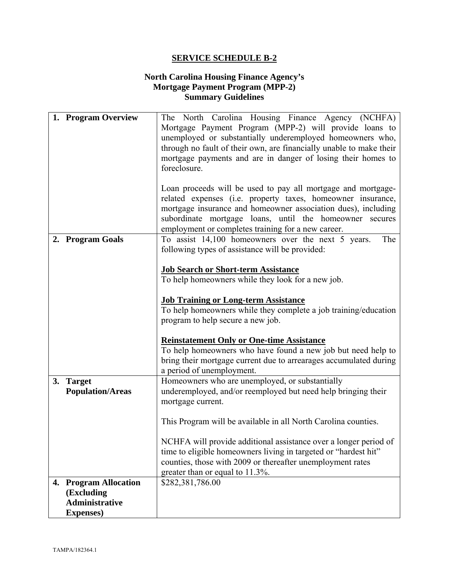#### **North Carolina Housing Finance Agency's Mortgage Payment Program (MPP-2) Summary Guidelines**

| 1. Program Overview     | The North Carolina Housing Finance Agency (NCHFA)                                                                        |
|-------------------------|--------------------------------------------------------------------------------------------------------------------------|
|                         | Mortgage Payment Program (MPP-2) will provide loans to<br>unemployed or substantially underemployed homeowners who,      |
|                         | through no fault of their own, are financially unable to make their                                                      |
|                         | mortgage payments and are in danger of losing their homes to                                                             |
|                         | foreclosure.                                                                                                             |
|                         |                                                                                                                          |
|                         | Loan proceeds will be used to pay all mortgage and mortgage-                                                             |
|                         | related expenses (i.e. property taxes, homeowner insurance,                                                              |
|                         | mortgage insurance and homeowner association dues), including<br>subordinate mortgage loans, until the homeowner secures |
|                         | employment or completes training for a new career.                                                                       |
| 2. Program Goals        | To assist 14,100 homeowners over the next 5 years.<br>The                                                                |
|                         | following types of assistance will be provided:                                                                          |
|                         |                                                                                                                          |
|                         | <b>Job Search or Short-term Assistance</b>                                                                               |
|                         | To help homeowners while they look for a new job.                                                                        |
|                         | <b>Job Training or Long-term Assistance</b>                                                                              |
|                         | To help homeowners while they complete a job training/education                                                          |
|                         | program to help secure a new job.                                                                                        |
|                         | <b>Reinstatement Only or One-time Assistance</b>                                                                         |
|                         | To help homeowners who have found a new job but need help to                                                             |
|                         | bring their mortgage current due to arrearages accumulated during                                                        |
|                         | a period of unemployment.                                                                                                |
| 3. Target               | Homeowners who are unemployed, or substantially                                                                          |
| <b>Population/Areas</b> | underemployed, and/or reemployed but need help bringing their                                                            |
|                         | mortgage current.                                                                                                        |
|                         | This Program will be available in all North Carolina counties.                                                           |
|                         |                                                                                                                          |
|                         | NCHFA will provide additional assistance over a longer period of                                                         |
|                         | time to eligible homeowners living in targeted or "hardest hit"                                                          |
|                         | counties, those with 2009 or thereafter unemployment rates                                                               |
| 4. Program Allocation   | greater than or equal to 11.3%.<br>\$282,381,786.00                                                                      |
| (Excluding              |                                                                                                                          |
| <b>Administrative</b>   |                                                                                                                          |
| <b>Expenses</b> )       |                                                                                                                          |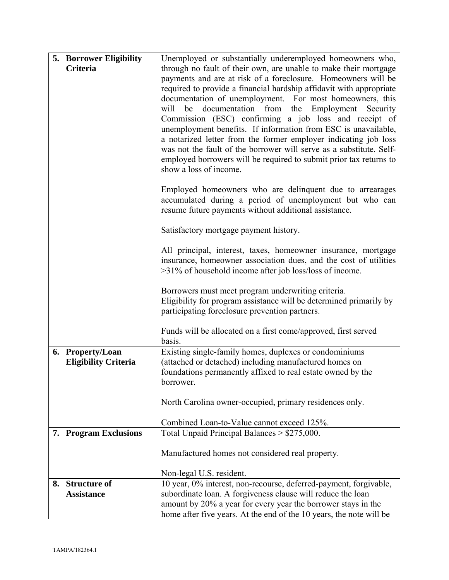| 5. Borrower Eligibility<br>Unemployed or substantially underemployed homeowners who,                                                              |  |
|---------------------------------------------------------------------------------------------------------------------------------------------------|--|
| through no fault of their own, are unable to make their mortgage<br>Criteria                                                                      |  |
| payments and are at risk of a foreclosure. Homeowners will be                                                                                     |  |
| required to provide a financial hardship affidavit with appropriate                                                                               |  |
| documentation of unemployment. For most homeowners, this                                                                                          |  |
| will be documentation from the Employment Security<br>Commission (ESC) confirming a job loss and receipt of                                       |  |
| unemployment benefits. If information from ESC is unavailable,                                                                                    |  |
| a notarized letter from the former employer indicating job loss                                                                                   |  |
| was not the fault of the borrower will serve as a substitute. Self-                                                                               |  |
| employed borrowers will be required to submit prior tax returns to                                                                                |  |
| show a loss of income.                                                                                                                            |  |
| Employed homeowners who are delinquent due to arrearages                                                                                          |  |
| accumulated during a period of unemployment but who can                                                                                           |  |
| resume future payments without additional assistance.                                                                                             |  |
| Satisfactory mortgage payment history.                                                                                                            |  |
| All principal, interest, taxes, homeowner insurance, mortgage                                                                                     |  |
| insurance, homeowner association dues, and the cost of utilities                                                                                  |  |
| >31% of household income after job loss/loss of income.                                                                                           |  |
| Borrowers must meet program underwriting criteria.                                                                                                |  |
| Eligibility for program assistance will be determined primarily by                                                                                |  |
| participating foreclosure prevention partners.                                                                                                    |  |
| Funds will be allocated on a first come/approved, first served                                                                                    |  |
| basis.                                                                                                                                            |  |
| Existing single-family homes, duplexes or condominiums<br>6. Property/Loan                                                                        |  |
| (attached or detached) including manufactured homes on<br><b>Eligibility Criteria</b>                                                             |  |
| foundations permanently affixed to real estate owned by the<br>borrower.                                                                          |  |
|                                                                                                                                                   |  |
| North Carolina owner-occupied, primary residences only.                                                                                           |  |
| Combined Loan-to-Value cannot exceed 125%.                                                                                                        |  |
| Total Unpaid Principal Balances > \$275,000.<br>7. Program Exclusions                                                                             |  |
| Manufactured homes not considered real property.                                                                                                  |  |
|                                                                                                                                                   |  |
| Non-legal U.S. resident.                                                                                                                          |  |
| 10 year, 0% interest, non-recourse, deferred-payment, forgivable,<br><b>Structure of</b><br>8.                                                    |  |
| subordinate loan. A forgiveness clause will reduce the loan<br><b>Assistance</b><br>amount by 20% a year for every year the borrower stays in the |  |
| home after five years. At the end of the 10 years, the note will be                                                                               |  |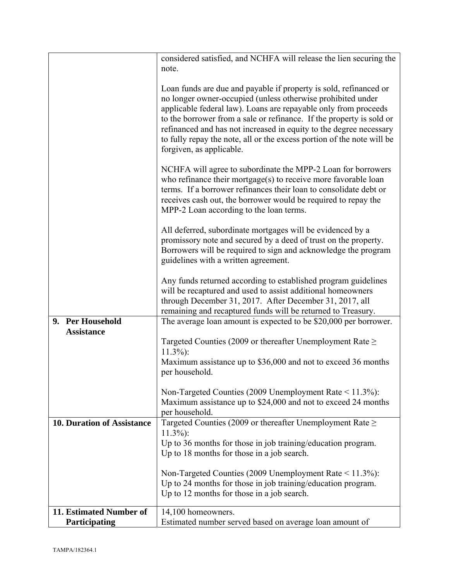|                                   | considered satisfied, and NCHFA will release the lien securing the<br>note.                                                                                                                                                                                                                                                                                                                                                                             |
|-----------------------------------|---------------------------------------------------------------------------------------------------------------------------------------------------------------------------------------------------------------------------------------------------------------------------------------------------------------------------------------------------------------------------------------------------------------------------------------------------------|
|                                   |                                                                                                                                                                                                                                                                                                                                                                                                                                                         |
|                                   | Loan funds are due and payable if property is sold, refinanced or<br>no longer owner-occupied (unless otherwise prohibited under<br>applicable federal law). Loans are repayable only from proceeds<br>to the borrower from a sale or refinance. If the property is sold or<br>refinanced and has not increased in equity to the degree necessary<br>to fully repay the note, all or the excess portion of the note will be<br>forgiven, as applicable. |
|                                   | NCHFA will agree to subordinate the MPP-2 Loan for borrowers<br>who refinance their mortgage(s) to receive more favorable loan<br>terms. If a borrower refinances their loan to consolidate debt or<br>receives cash out, the borrower would be required to repay the<br>MPP-2 Loan according to the loan terms.                                                                                                                                        |
|                                   | All deferred, subordinate mortgages will be evidenced by a<br>promissory note and secured by a deed of trust on the property.<br>Borrowers will be required to sign and acknowledge the program<br>guidelines with a written agreement.                                                                                                                                                                                                                 |
|                                   | Any funds returned according to established program guidelines<br>will be recaptured and used to assist additional homeowners<br>through December 31, 2017. After December 31, 2017, all<br>remaining and recaptured funds will be returned to Treasury.                                                                                                                                                                                                |
| 9. Per Household                  | The average loan amount is expected to be \$20,000 per borrower.                                                                                                                                                                                                                                                                                                                                                                                        |
| <b>Assistance</b>                 | Targeted Counties (2009 or thereafter Unemployment Rate $\geq$                                                                                                                                                                                                                                                                                                                                                                                          |
|                                   | $11.3\%$ :                                                                                                                                                                                                                                                                                                                                                                                                                                              |
|                                   | Maximum assistance up to \$36,000 and not to exceed 36 months<br>per household.                                                                                                                                                                                                                                                                                                                                                                         |
|                                   | Non-Targeted Counties (2009 Unemployment Rate $\leq$ 11.3%):                                                                                                                                                                                                                                                                                                                                                                                            |
|                                   | Maximum assistance up to \$24,000 and not to exceed 24 months                                                                                                                                                                                                                                                                                                                                                                                           |
|                                   | per household.                                                                                                                                                                                                                                                                                                                                                                                                                                          |
| <b>10. Duration of Assistance</b> | Targeted Counties (2009 or thereafter Unemployment Rate $\geq$<br>$11.3\%$ :                                                                                                                                                                                                                                                                                                                                                                            |
|                                   | Up to 36 months for those in job training/education program.                                                                                                                                                                                                                                                                                                                                                                                            |
|                                   | Up to 18 months for those in a job search.                                                                                                                                                                                                                                                                                                                                                                                                              |
|                                   | Non-Targeted Counties (2009 Unemployment Rate $\leq$ 11.3%):                                                                                                                                                                                                                                                                                                                                                                                            |
|                                   | Up to 24 months for those in job training/education program.                                                                                                                                                                                                                                                                                                                                                                                            |
|                                   | Up to 12 months for those in a job search.                                                                                                                                                                                                                                                                                                                                                                                                              |
| 11. Estimated Number of           | 14,100 homeowners.                                                                                                                                                                                                                                                                                                                                                                                                                                      |
| Participating                     | Estimated number served based on average loan amount of                                                                                                                                                                                                                                                                                                                                                                                                 |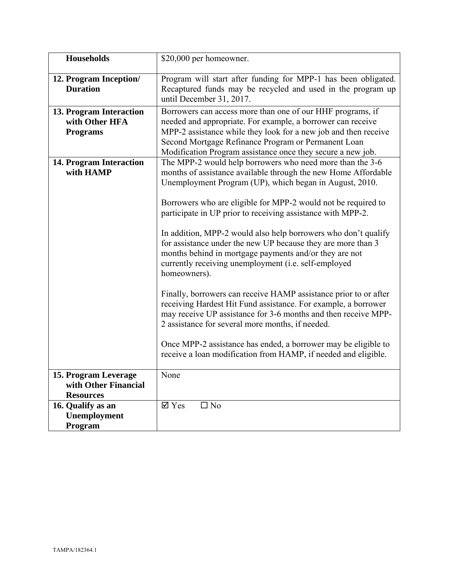| <b>Households</b>                                                | \$20,000 per homeowner.                                                                                                                                                                                                                                                                                                                                                                                                                                                                                                                                                                                                                                                                                                                                                                                                                                                                                                                                                                    |
|------------------------------------------------------------------|--------------------------------------------------------------------------------------------------------------------------------------------------------------------------------------------------------------------------------------------------------------------------------------------------------------------------------------------------------------------------------------------------------------------------------------------------------------------------------------------------------------------------------------------------------------------------------------------------------------------------------------------------------------------------------------------------------------------------------------------------------------------------------------------------------------------------------------------------------------------------------------------------------------------------------------------------------------------------------------------|
| 12. Program Inception/<br><b>Duration</b>                        | Program will start after funding for MPP-1 has been obligated.<br>Recaptured funds may be recycled and used in the program up<br>until December 31, 2017.                                                                                                                                                                                                                                                                                                                                                                                                                                                                                                                                                                                                                                                                                                                                                                                                                                  |
| 13. Program Interaction<br>with Other HFA<br><b>Programs</b>     | Borrowers can access more than one of our HHF programs, if<br>needed and appropriate. For example, a borrower can receive<br>MPP-2 assistance while they look for a new job and then receive<br>Second Mortgage Refinance Program or Permanent Loan<br>Modification Program assistance once they secure a new job.                                                                                                                                                                                                                                                                                                                                                                                                                                                                                                                                                                                                                                                                         |
| 14. Program Interaction<br>with HAMP                             | The MPP-2 would help borrowers who need more than the 3-6<br>months of assistance available through the new Home Affordable<br>Unemployment Program (UP), which began in August, 2010.<br>Borrowers who are eligible for MPP-2 would not be required to<br>participate in UP prior to receiving assistance with MPP-2.<br>In addition, MPP-2 would also help borrowers who don't qualify<br>for assistance under the new UP because they are more than 3<br>months behind in mortgage payments and/or they are not<br>currently receiving unemployment (i.e. self-employed<br>homeowners).<br>Finally, borrowers can receive HAMP assistance prior to or after<br>receiving Hardest Hit Fund assistance. For example, a borrower<br>may receive UP assistance for 3-6 months and then receive MPP-<br>2 assistance for several more months, if needed.<br>Once MPP-2 assistance has ended, a borrower may be eligible to<br>receive a loan modification from HAMP, if needed and eligible. |
| 15. Program Leverage<br>with Other Financial<br><b>Resources</b> | None                                                                                                                                                                                                                                                                                                                                                                                                                                                                                                                                                                                                                                                                                                                                                                                                                                                                                                                                                                                       |
| 16. Qualify as an<br>Unemployment<br>Program                     | $\boxtimes$ Yes<br>$\square$ No                                                                                                                                                                                                                                                                                                                                                                                                                                                                                                                                                                                                                                                                                                                                                                                                                                                                                                                                                            |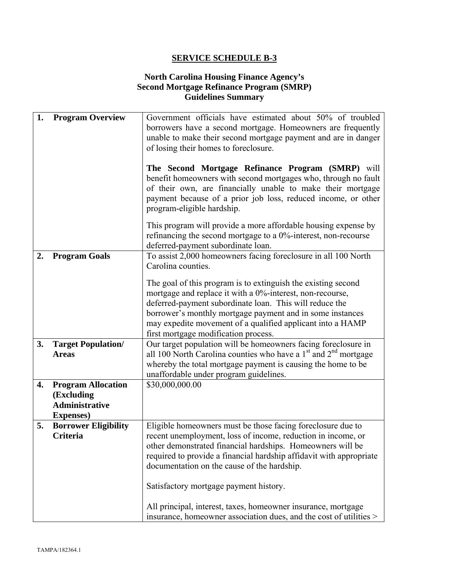#### **North Carolina Housing Finance Agency's Second Mortgage Refinance Program (SMRP) Guidelines Summary**

| 1. | <b>Program Overview</b>                          | Government officials have estimated about 50% of troubled           |
|----|--------------------------------------------------|---------------------------------------------------------------------|
|    |                                                  | borrowers have a second mortgage. Homeowners are frequently         |
|    |                                                  | unable to make their second mortgage payment and are in danger      |
|    |                                                  | of losing their homes to foreclosure.                               |
|    |                                                  |                                                                     |
|    |                                                  | The Second Mortgage Refinance Program (SMRP) will                   |
|    |                                                  | benefit homeowners with second mortgages who, through no fault      |
|    |                                                  | of their own, are financially unable to make their mortgage         |
|    |                                                  |                                                                     |
|    |                                                  | payment because of a prior job loss, reduced income, or other       |
|    |                                                  | program-eligible hardship.                                          |
|    |                                                  | This program will provide a more affordable housing expense by      |
|    |                                                  | refinancing the second mortgage to a 0%-interest, non-recourse      |
|    |                                                  | deferred-payment subordinate loan.                                  |
| 2. | <b>Program Goals</b>                             | To assist 2,000 homeowners facing foreclosure in all 100 North      |
|    |                                                  | Carolina counties.                                                  |
|    |                                                  |                                                                     |
|    |                                                  | The goal of this program is to extinguish the existing second       |
|    |                                                  | mortgage and replace it with a 0%-interest, non-recourse,           |
|    |                                                  | deferred-payment subordinate loan. This will reduce the             |
|    |                                                  | borrower's monthly mortgage payment and in some instances           |
|    |                                                  | may expedite movement of a qualified applicant into a HAMP          |
|    |                                                  | first mortgage modification process.                                |
| 3. | <b>Target Population/</b>                        | Our target population will be homeowners facing foreclosure in      |
|    | <b>Areas</b>                                     | all 100 North Carolina counties who have a $1st$ and $2nd$ mortgage |
|    |                                                  | whereby the total mortgage payment is causing the home to be        |
|    |                                                  | unaffordable under program guidelines.                              |
| 4. | <b>Program Allocation</b>                        | \$30,000,000.00                                                     |
|    | (Excluding                                       |                                                                     |
|    | <b>Administrative</b>                            |                                                                     |
|    |                                                  |                                                                     |
| 5. | <b>Expenses</b> )<br><b>Borrower Eligibility</b> | Eligible homeowners must be those facing foreclosure due to         |
|    | Criteria                                         |                                                                     |
|    |                                                  | recent unemployment, loss of income, reduction in income, or        |
|    |                                                  | other demonstrated financial hardships. Homeowners will be          |
|    |                                                  | required to provide a financial hardship affidavit with appropriate |
|    |                                                  | documentation on the cause of the hardship.                         |
|    |                                                  |                                                                     |
|    |                                                  | Satisfactory mortgage payment history.                              |
|    |                                                  |                                                                     |
|    |                                                  | All principal, interest, taxes, homeowner insurance, mortgage       |
|    |                                                  | insurance, homeowner association dues, and the cost of utilities >  |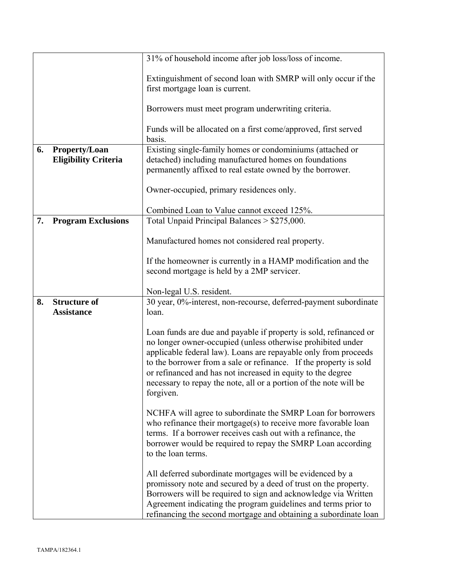|    |                                              | 31% of household income after job loss/loss of income.                                                                                                                                                                                                                                                                                                                                                                    |
|----|----------------------------------------------|---------------------------------------------------------------------------------------------------------------------------------------------------------------------------------------------------------------------------------------------------------------------------------------------------------------------------------------------------------------------------------------------------------------------------|
|    |                                              | Extinguishment of second loan with SMRP will only occur if the<br>first mortgage loan is current.                                                                                                                                                                                                                                                                                                                         |
|    |                                              | Borrowers must meet program underwriting criteria.                                                                                                                                                                                                                                                                                                                                                                        |
|    |                                              | Funds will be allocated on a first come/approved, first served<br>basis.                                                                                                                                                                                                                                                                                                                                                  |
| 6. | Property/Loan<br><b>Eligibility Criteria</b> | Existing single-family homes or condominiums (attached or<br>detached) including manufactured homes on foundations<br>permanently affixed to real estate owned by the borrower.                                                                                                                                                                                                                                           |
|    |                                              | Owner-occupied, primary residences only.                                                                                                                                                                                                                                                                                                                                                                                  |
|    |                                              | Combined Loan to Value cannot exceed 125%.                                                                                                                                                                                                                                                                                                                                                                                |
| 7. | <b>Program Exclusions</b>                    | Total Unpaid Principal Balances > \$275,000.                                                                                                                                                                                                                                                                                                                                                                              |
|    |                                              | Manufactured homes not considered real property.                                                                                                                                                                                                                                                                                                                                                                          |
|    |                                              | If the homeowner is currently in a HAMP modification and the<br>second mortgage is held by a 2MP servicer.                                                                                                                                                                                                                                                                                                                |
|    |                                              |                                                                                                                                                                                                                                                                                                                                                                                                                           |
| 8. | <b>Structure of</b>                          | Non-legal U.S. resident.<br>30 year, 0%-interest, non-recourse, deferred-payment subordinate                                                                                                                                                                                                                                                                                                                              |
|    | <b>Assistance</b>                            | loan.                                                                                                                                                                                                                                                                                                                                                                                                                     |
|    |                                              | Loan funds are due and payable if property is sold, refinanced or<br>no longer owner-occupied (unless otherwise prohibited under<br>applicable federal law). Loans are repayable only from proceeds<br>to the borrower from a sale or refinance. If the property is sold<br>or refinanced and has not increased in equity to the degree<br>necessary to repay the note, all or a portion of the note will be<br>forgiven. |
|    |                                              | NCHFA will agree to subordinate the SMRP Loan for borrowers<br>who refinance their mortgage(s) to receive more favorable loan<br>terms. If a borrower receives cash out with a refinance, the<br>borrower would be required to repay the SMRP Loan according<br>to the loan terms.                                                                                                                                        |
|    |                                              | All deferred subordinate mortgages will be evidenced by a<br>promissory note and secured by a deed of trust on the property.<br>Borrowers will be required to sign and acknowledge via Written<br>Agreement indicating the program guidelines and terms prior to<br>refinancing the second mortgage and obtaining a subordinate loan                                                                                      |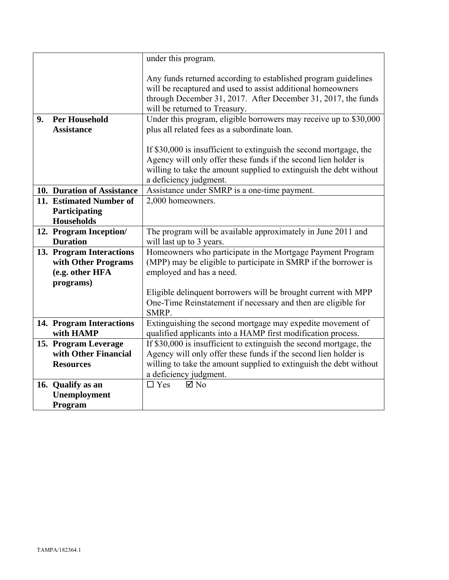|    |                              | under this program.                                                                                                                                                                                                             |
|----|------------------------------|---------------------------------------------------------------------------------------------------------------------------------------------------------------------------------------------------------------------------------|
|    |                              | Any funds returned according to established program guidelines<br>will be recaptured and used to assist additional homeowners<br>through December 31, 2017. After December 31, 2017, the funds<br>will be returned to Treasury. |
| 9. | <b>Per Household</b>         | Under this program, eligible borrowers may receive up to \$30,000                                                                                                                                                               |
|    | <b>Assistance</b>            | plus all related fees as a subordinate loan.                                                                                                                                                                                    |
|    |                              | If \$30,000 is insufficient to extinguish the second mortgage, the                                                                                                                                                              |
|    |                              | Agency will only offer these funds if the second lien holder is                                                                                                                                                                 |
|    |                              | willing to take the amount supplied to extinguish the debt without                                                                                                                                                              |
|    |                              | a deficiency judgment.                                                                                                                                                                                                          |
|    | 10. Duration of Assistance   | Assistance under SMRP is a one-time payment.                                                                                                                                                                                    |
|    | 11. Estimated Number of      | 2,000 homeowners.                                                                                                                                                                                                               |
|    | Participating                |                                                                                                                                                                                                                                 |
|    | <b>Households</b>            |                                                                                                                                                                                                                                 |
|    | 12. Program Inception/       | The program will be available approximately in June 2011 and                                                                                                                                                                    |
|    | <b>Duration</b>              | will last up to 3 years.                                                                                                                                                                                                        |
|    | 13. Program Interactions     | Homeowners who participate in the Mortgage Payment Program                                                                                                                                                                      |
|    | with Other Programs          | (MPP) may be eligible to participate in SMRP if the borrower is                                                                                                                                                                 |
|    | (e.g. other HFA<br>programs) | employed and has a need.                                                                                                                                                                                                        |
|    |                              | Eligible delinquent borrowers will be brought current with MPP                                                                                                                                                                  |
|    |                              | One-Time Reinstatement if necessary and then are eligible for                                                                                                                                                                   |
|    |                              | SMRP.                                                                                                                                                                                                                           |
|    | 14. Program Interactions     | Extinguishing the second mortgage may expedite movement of                                                                                                                                                                      |
|    | with HAMP                    | qualified applicants into a HAMP first modification process.                                                                                                                                                                    |
|    | 15. Program Leverage         | If \$30,000 is insufficient to extinguish the second mortgage, the                                                                                                                                                              |
|    | with Other Financial         | Agency will only offer these funds if the second lien holder is                                                                                                                                                                 |
|    | <b>Resources</b>             | willing to take the amount supplied to extinguish the debt without                                                                                                                                                              |
|    |                              | a deficiency judgment.                                                                                                                                                                                                          |
|    | 16. Qualify as an            | $\Box$ Yes<br>$\boxtimes$ No                                                                                                                                                                                                    |
|    | Unemployment                 |                                                                                                                                                                                                                                 |
|    | Program                      |                                                                                                                                                                                                                                 |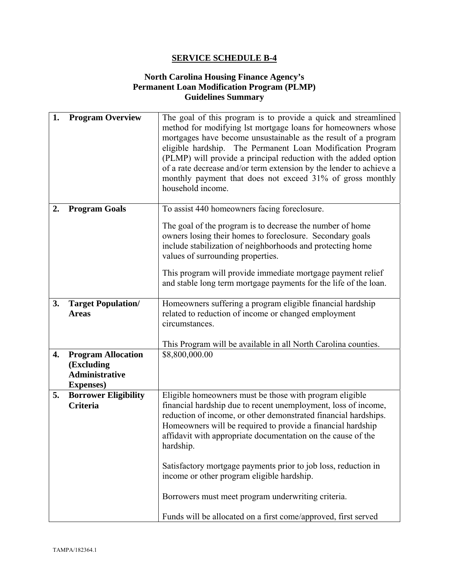#### **North Carolina Housing Finance Agency's Permanent Loan Modification Program (PLMP) Guidelines Summary**

| 1. | <b>Program Overview</b>                                                               | The goal of this program is to provide a quick and streamlined<br>method for modifying lst mortgage loans for homeowners whose<br>mortgages have become unsustainable as the result of a program<br>eligible hardship. The Permanent Loan Modification Program<br>(PLMP) will provide a principal reduction with the added option<br>of a rate decrease and/or term extension by the lender to achieve a<br>monthly payment that does not exceed 31% of gross monthly<br>household income.                                                                                       |
|----|---------------------------------------------------------------------------------------|----------------------------------------------------------------------------------------------------------------------------------------------------------------------------------------------------------------------------------------------------------------------------------------------------------------------------------------------------------------------------------------------------------------------------------------------------------------------------------------------------------------------------------------------------------------------------------|
| 2. | <b>Program Goals</b>                                                                  | To assist 440 homeowners facing foreclosure.<br>The goal of the program is to decrease the number of home<br>owners losing their homes to foreclosure. Secondary goals<br>include stabilization of neighborhoods and protecting home<br>values of surrounding properties.<br>This program will provide immediate mortgage payment relief<br>and stable long term mortgage payments for the life of the loan.                                                                                                                                                                     |
| 3. | <b>Target Population/</b><br><b>Areas</b>                                             | Homeowners suffering a program eligible financial hardship<br>related to reduction of income or changed employment<br>circumstances.<br>This Program will be available in all North Carolina counties.                                                                                                                                                                                                                                                                                                                                                                           |
| 4. | <b>Program Allocation</b><br>(Excluding<br><b>Administrative</b><br><b>Expenses</b> ) | \$8,800,000.00                                                                                                                                                                                                                                                                                                                                                                                                                                                                                                                                                                   |
| 5. | <b>Borrower Eligibility</b><br>Criteria                                               | Eligible homeowners must be those with program eligible<br>financial hardship due to recent unemployment, loss of income,<br>reduction of income, or other demonstrated financial hardships.<br>Homeowners will be required to provide a financial hardship<br>affidavit with appropriate documentation on the cause of the<br>hardship.<br>Satisfactory mortgage payments prior to job loss, reduction in<br>income or other program eligible hardship.<br>Borrowers must meet program underwriting criteria.<br>Funds will be allocated on a first come/approved, first served |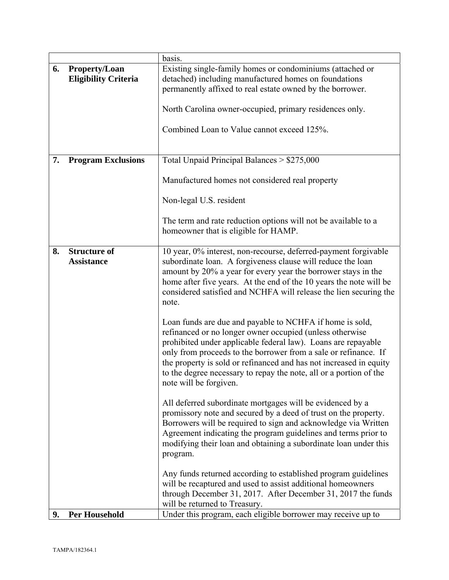|    |                             | basis.                                                                                                                           |
|----|-----------------------------|----------------------------------------------------------------------------------------------------------------------------------|
| 6. | <b>Property/Loan</b>        | Existing single-family homes or condominiums (attached or                                                                        |
|    | <b>Eligibility Criteria</b> | detached) including manufactured homes on foundations                                                                            |
|    |                             | permanently affixed to real estate owned by the borrower.                                                                        |
|    |                             |                                                                                                                                  |
|    |                             | North Carolina owner-occupied, primary residences only.                                                                          |
|    |                             | Combined Loan to Value cannot exceed 125%.                                                                                       |
|    |                             |                                                                                                                                  |
|    |                             |                                                                                                                                  |
| 7. | <b>Program Exclusions</b>   | Total Unpaid Principal Balances > \$275,000                                                                                      |
|    |                             |                                                                                                                                  |
|    |                             | Manufactured homes not considered real property                                                                                  |
|    |                             |                                                                                                                                  |
|    |                             | Non-legal U.S. resident                                                                                                          |
|    |                             | The term and rate reduction options will not be available to a                                                                   |
|    |                             | homeowner that is eligible for HAMP.                                                                                             |
|    |                             |                                                                                                                                  |
| 8. | <b>Structure of</b>         | 10 year, 0% interest, non-recourse, deferred-payment forgivable                                                                  |
|    | <b>Assistance</b>           | subordinate loan. A forgiveness clause will reduce the loan                                                                      |
|    |                             | amount by 20% a year for every year the borrower stays in the                                                                    |
|    |                             | home after five years. At the end of the 10 years the note will be                                                               |
|    |                             | considered satisfied and NCHFA will release the lien securing the                                                                |
|    |                             | note.                                                                                                                            |
|    |                             | Loan funds are due and payable to NCHFA if home is sold,                                                                         |
|    |                             | refinanced or no longer owner occupied (unless otherwise                                                                         |
|    |                             | prohibited under applicable federal law). Loans are repayable                                                                    |
|    |                             | only from proceeds to the borrower from a sale or refinance. If                                                                  |
|    |                             | the property is sold or refinanced and has not increased in equity                                                               |
|    |                             | to the degree necessary to repay the note, all or a portion of the                                                               |
|    |                             | note will be forgiven.                                                                                                           |
|    |                             |                                                                                                                                  |
|    |                             | All deferred subordinate mortgages will be evidenced by a                                                                        |
|    |                             | promissory note and secured by a deed of trust on the property.                                                                  |
|    |                             | Borrowers will be required to sign and acknowledge via Written<br>Agreement indicating the program guidelines and terms prior to |
|    |                             | modifying their loan and obtaining a subordinate loan under this                                                                 |
|    |                             | program.                                                                                                                         |
|    |                             |                                                                                                                                  |
|    |                             | Any funds returned according to established program guidelines                                                                   |
|    |                             | will be recaptured and used to assist additional homeowners                                                                      |
|    |                             | through December 31, 2017. After December 31, 2017 the funds                                                                     |
|    |                             | will be returned to Treasury.                                                                                                    |
| 9. | <b>Per Household</b>        | Under this program, each eligible borrower may receive up to                                                                     |